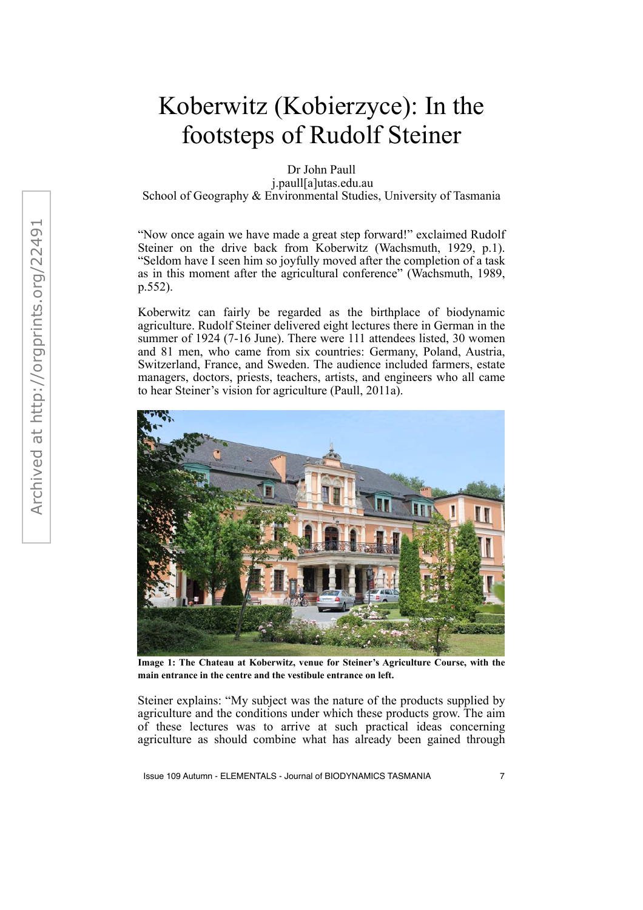## Koberwitz (Kobierzyce): In the footsteps of Rudolf Steiner

Dr John Paull

j.paull[a]utas.edu.au

School of Geography & Environmental Studies, University of Tasmania

"Now once again we have made a great step forward!" exclaimed Rudolf Steiner on the drive back from Koberwitz (Wachsmuth, 1929, p.1). "Seldom have I seen him so joyfully moved after the completion of a task as in this moment after the agricultural conference" (Wachsmuth, 1989, p.552).

Koberwitz can fairly be regarded as the birthplace of biodynamic agriculture. Rudolf Steiner delivered eight lectures there in German in the summer of 1924 (7-16 June). There were 111 attendees listed, 30 women and 81 men, who came from six countries: Germany, Poland, Austria, Switzerland, France, and Sweden. The audience included farmers, estate managers, doctors, priests, teachers, artists, and engineers who all came to hear Steiner's vision for agriculture (Paull, 2011a).



**Image 1: The Chateau at Koberwitz, venue for Steiner's Agriculture Course, with the main entrance in the centre and the vestibule entrance on left.**

Steiner explains: "My subject was the nature of the products supplied by agriculture and the conditions under which these products grow. The aim of these lectures was to arrive at such practical ideas concerning agriculture as should combine what has already been gained through

Issue 109 Autumn - ELEMENTALS - Journal of BIODYNAMICS TASMANIA 7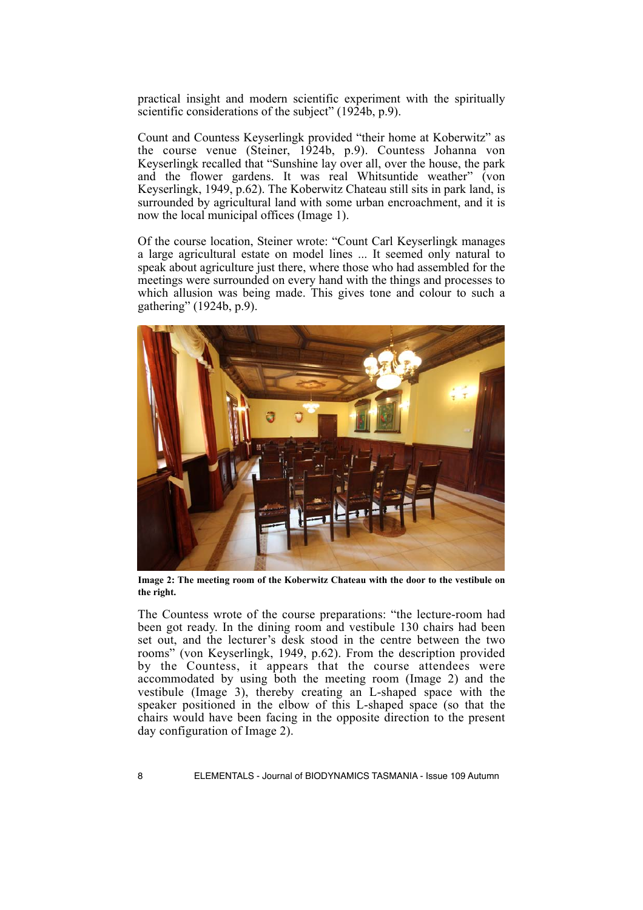practical insight and modern scientific experiment with the spiritually scientific considerations of the subject" (1924b, p.9).

Count and Countess Keyserlingk provided "their home at Koberwitz" as the course venue (Steiner, 1924b, p.9). Countess Johanna von Keyserlingk recalled that "Sunshine lay over all, over the house, the park and the flower gardens. It was real Whitsuntide weather" (von Keyserlingk, 1949, p.62). The Koberwitz Chateau still sits in park land, is surrounded by agricultural land with some urban encroachment, and it is now the local municipal offices (Image 1).

Of the course location, Steiner wrote: "Count Carl Keyserlingk manages a large agricultural estate on model lines ... It seemed only natural to speak about agriculture just there, where those who had assembled for the meetings were surrounded on every hand with the things and processes to which allusion was being made. This gives tone and colour to such a gathering" (1924b, p.9).



**Image 2: The meeting room of the Koberwitz Chateau with the door to the vestibule on the right.**

The Countess wrote of the course preparations: "the lecture-room had been got ready. In the dining room and vestibule 130 chairs had been set out, and the lecturer's desk stood in the centre between the two rooms" (von Keyserlingk, 1949, p.62). From the description provided by the Countess, it appears that the course attendees were accommodated by using both the meeting room (Image 2) and the vestibule (Image 3), thereby creating an L-shaped space with the speaker positioned in the elbow of this L-shaped space (so that the chairs would have been facing in the opposite direction to the present day configuration of Image 2).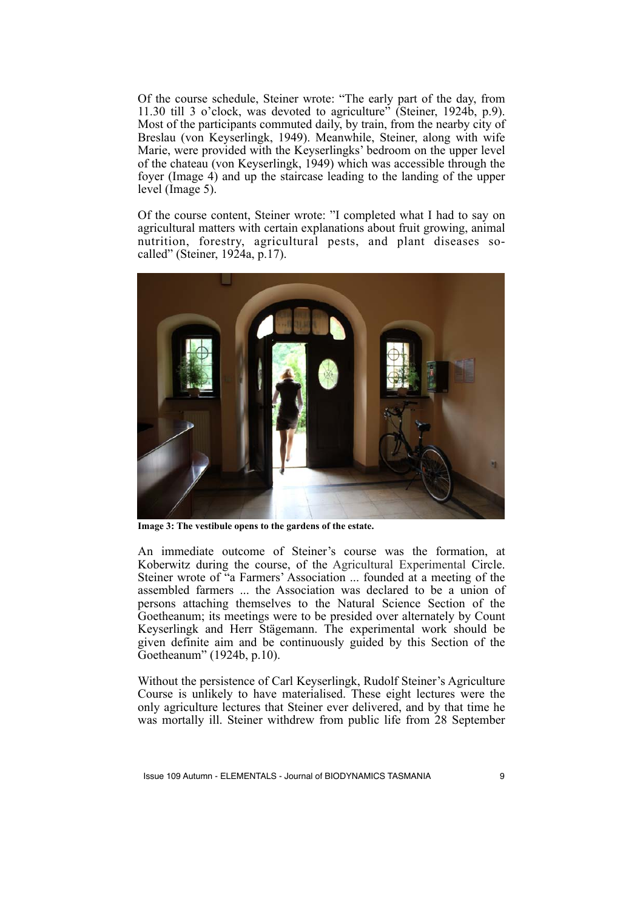Of the course schedule, Steiner wrote: "The early part of the day, from 11.30 till 3 o'clock, was devoted to agriculture" (Steiner, 1924b, p.9). Most of the participants commuted daily, by train, from the nearby city of Breslau (von Keyserlingk, 1949). Meanwhile, Steiner, along with wife Marie, were provided with the Keyserlingks' bedroom on the upper level of the chateau (von Keyserlingk, 1949) which was accessible through the foyer (Image 4) and up the staircase leading to the landing of the upper level (Image 5).

Of the course content, Steiner wrote: "I completed what I had to say on agricultural matters with certain explanations about fruit growing, animal nutrition, forestry, agricultural pests, and plant diseases socalled" (Steiner, 1924a, p.17).



**Image 3: The vestibule opens to the gardens of the estate.**

An immediate outcome of Steiner's course was the formation, at Koberwitz during the course, of the Agricultural Experimental Circle. Steiner wrote of "a Farmers' Association ... founded at a meeting of the assembled farmers ... the Association was declared to be a union of persons attaching themselves to the Natural Science Section of the Goetheanum; its meetings were to be presided over alternately by Count Keyserlingk and Herr Stägemann. The experimental work should be given definite aim and be continuously guided by this Section of the Goetheanum" (1924b, p.10).

Without the persistence of Carl Keyserlingk, Rudolf Steiner's Agriculture Course is unlikely to have materialised. These eight lectures were the only agriculture lectures that Steiner ever delivered, and by that time he was mortally ill. Steiner withdrew from public life from 28 September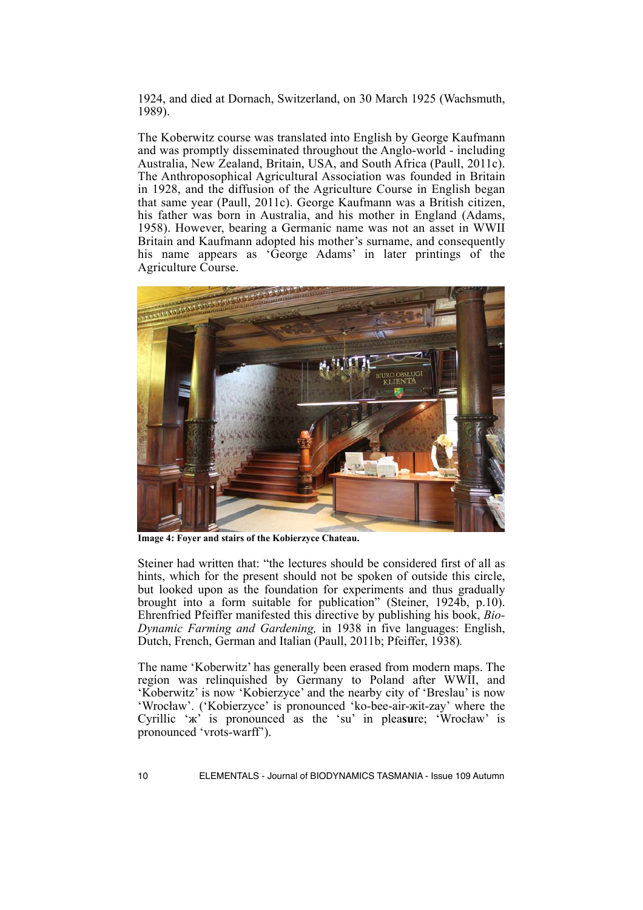1924, and died at Dornach, Switzerland, on 30 March 1925 (Wachsmuth, 1989).

The Koberwitz course was translated into English by George Kaufmann and was promptly disseminated throughout the Anglo-world - including Australia, New Zealand, Britain, USA, and South Africa (Paull, 2011c). The Anthroposophical Agricultural Association was founded in Britain in 1928, and the diffusion of the Agriculture Course in English began that same year (Paull, 2011c). George Kaufmann was a British citizen, his father was born in Australia, and his mother in England (Adams, 1958). However, bearing a Germanic name was not an asset in WWII Britain and Kaufmann adopted his mother's surname, and consequently his name appears as 'George Adams' in later printings of the Agriculture Course.



**Image 4: Foyer and stairs of the Kobierzyce Chateau.**

Steiner had written that: "the lectures should be considered first of all as hints, which for the present should not be spoken of outside this circle, but looked upon as the foundation for experiments and thus gradually brought into a form suitable for publication" (Steiner, 1924b, p.10). Ehrenfried Pfeiffer manifested this directive by publishing his book, *Bio-Dynamic Farming and Gardening,* in 1938 in five languages: English, Dutch, French, German and Italian (Paull, 2011b; Pfeiffer, 1938)*.*

The name 'Koberwitz' has generally been erased from modern maps. The region was relinquished by Germany to Poland after WWII, and 'Koberwitz' is now 'Kobierzyce' and the nearby city of 'Breslau' is now 'Wrocław'. ('Kobierzyce' is pronounced 'ko-bee-air-жit-zay' where the Cyrillic 'ж' is pronounced as the 'su' in plea**su**re; 'Wrocław' is pronounced 'vrots-warff').